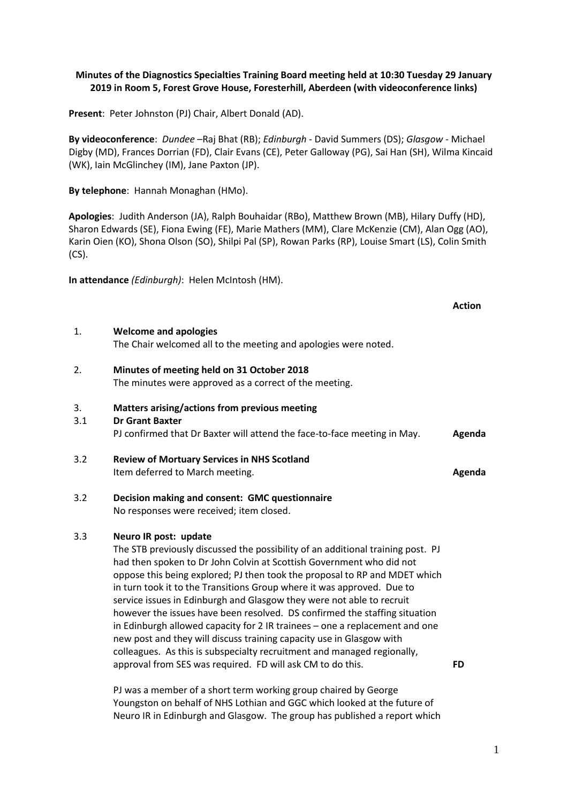# **Minutes of the Diagnostics Specialties Training Board meeting held at 10:30 Tuesday 29 January 2019 in Room 5, Forest Grove House, Foresterhill, Aberdeen (with videoconference links)**

**Present**: Peter Johnston (PJ) Chair, Albert Donald (AD).

**By videoconference**: *Dundee* –Raj Bhat (RB); *Edinburgh -* David Summers (DS); *Glasgow* - Michael Digby (MD), Frances Dorrian (FD), Clair Evans (CE), Peter Galloway (PG), Sai Han (SH), Wilma Kincaid (WK), Iain McGlinchey (IM), Jane Paxton (JP).

**By telephone**: Hannah Monaghan (HMo).

**Apologies**: Judith Anderson (JA), Ralph Bouhaidar (RBo), Matthew Brown (MB), Hilary Duffy (HD), Sharon Edwards (SE), Fiona Ewing (FE), Marie Mathers (MM), Clare McKenzie (CM), Alan Ogg (AO), Karin Oien (KO), Shona Olson (SO), Shilpi Pal (SP), Rowan Parks (RP), Louise Smart (LS), Colin Smith (CS).

**In attendance** *(Edinburgh)*: Helen McIntosh (HM).

|           |                                                                                                                                                                                                                                                                                                                                                                                                                                                                                                                                                                                                                                                                                                                                   | <b>Action</b> |
|-----------|-----------------------------------------------------------------------------------------------------------------------------------------------------------------------------------------------------------------------------------------------------------------------------------------------------------------------------------------------------------------------------------------------------------------------------------------------------------------------------------------------------------------------------------------------------------------------------------------------------------------------------------------------------------------------------------------------------------------------------------|---------------|
| 1.        | <b>Welcome and apologies</b><br>The Chair welcomed all to the meeting and apologies were noted.                                                                                                                                                                                                                                                                                                                                                                                                                                                                                                                                                                                                                                   |               |
| 2.        | Minutes of meeting held on 31 October 2018<br>The minutes were approved as a correct of the meeting.                                                                                                                                                                                                                                                                                                                                                                                                                                                                                                                                                                                                                              |               |
| 3.<br>3.1 | Matters arising/actions from previous meeting<br><b>Dr Grant Baxter</b><br>PJ confirmed that Dr Baxter will attend the face-to-face meeting in May.                                                                                                                                                                                                                                                                                                                                                                                                                                                                                                                                                                               | Agenda        |
| 3.2       | <b>Review of Mortuary Services in NHS Scotland</b><br>Item deferred to March meeting.                                                                                                                                                                                                                                                                                                                                                                                                                                                                                                                                                                                                                                             | Agenda        |
| 3.2       | Decision making and consent: GMC questionnaire<br>No responses were received; item closed.                                                                                                                                                                                                                                                                                                                                                                                                                                                                                                                                                                                                                                        |               |
| 3.3       | Neuro IR post: update<br>The STB previously discussed the possibility of an additional training post. PJ<br>had then spoken to Dr John Colvin at Scottish Government who did not<br>oppose this being explored; PJ then took the proposal to RP and MDET which<br>in turn took it to the Transitions Group where it was approved. Due to<br>service issues in Edinburgh and Glasgow they were not able to recruit<br>however the issues have been resolved. DS confirmed the staffing situation<br>in Edinburgh allowed capacity for 2 IR trainees - one a replacement and one<br>new post and they will discuss training capacity use in Glasgow with<br>colleagues. As this is subspecialty recruitment and managed regionally, |               |
|           | approval from SES was required. FD will ask CM to do this.                                                                                                                                                                                                                                                                                                                                                                                                                                                                                                                                                                                                                                                                        | <b>FD</b>     |

PJ was a member of a short term working group chaired by George Youngston on behalf of NHS Lothian and GGC which looked at the future of Neuro IR in Edinburgh and Glasgow. The group has published a report which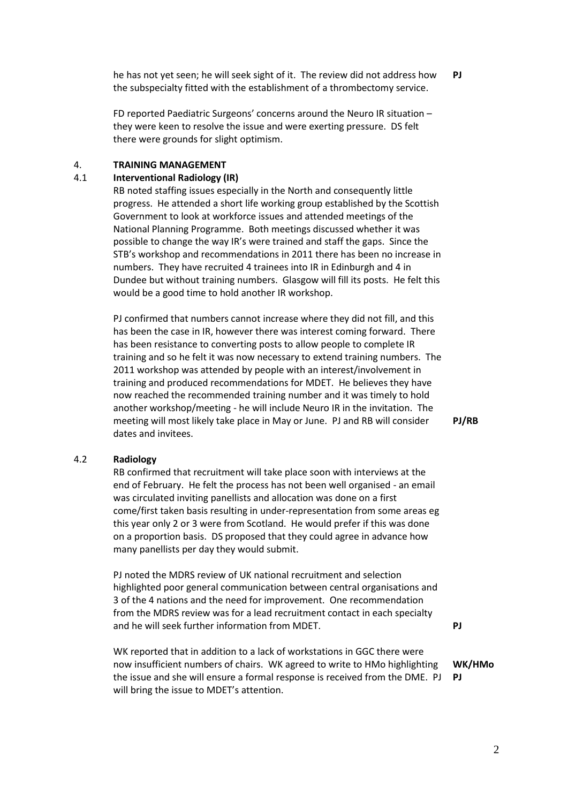he has not yet seen; he will seek sight of it. The review did not address how the subspecialty fitted with the establishment of a thrombectomy service. **PJ**

FD reported Paediatric Surgeons' concerns around the Neuro IR situation – they were keen to resolve the issue and were exerting pressure. DS felt there were grounds for slight optimism.

### 4. **TRAINING MANAGEMENT**

# 4.1 **Interventional Radiology (IR)**

RB noted staffing issues especially in the North and consequently little progress. He attended a short life working group established by the Scottish Government to look at workforce issues and attended meetings of the National Planning Programme. Both meetings discussed whether it was possible to change the way IR's were trained and staff the gaps. Since the STB's workshop and recommendations in 2011 there has been no increase in numbers. They have recruited 4 trainees into IR in Edinburgh and 4 in Dundee but without training numbers. Glasgow will fill its posts. He felt this would be a good time to hold another IR workshop.

PJ confirmed that numbers cannot increase where they did not fill, and this has been the case in IR, however there was interest coming forward. There has been resistance to converting posts to allow people to complete IR training and so he felt it was now necessary to extend training numbers. The 2011 workshop was attended by people with an interest/involvement in training and produced recommendations for MDET. He believes they have now reached the recommended training number and it was timely to hold another workshop/meeting - he will include Neuro IR in the invitation. The meeting will most likely take place in May or June. PJ and RB will consider dates and invitees.

**PJ/RB**

### 4.2 **Radiology**

RB confirmed that recruitment will take place soon with interviews at the end of February. He felt the process has not been well organised - an email was circulated inviting panellists and allocation was done on a first come/first taken basis resulting in under-representation from some areas eg this year only 2 or 3 were from Scotland. He would prefer if this was done on a proportion basis. DS proposed that they could agree in advance how many panellists per day they would submit.

PJ noted the MDRS review of UK national recruitment and selection highlighted poor general communication between central organisations and 3 of the 4 nations and the need for improvement. One recommendation from the MDRS review was for a lead recruitment contact in each specialty and he will seek further information from MDET.

WK reported that in addition to a lack of workstations in GGC there were now insufficient numbers of chairs. WK agreed to write to HMo highlighting the issue and she will ensure a formal response is received from the DME. PJ will bring the issue to MDET's attention. **PJ**

**WK/HMo**

**PJ**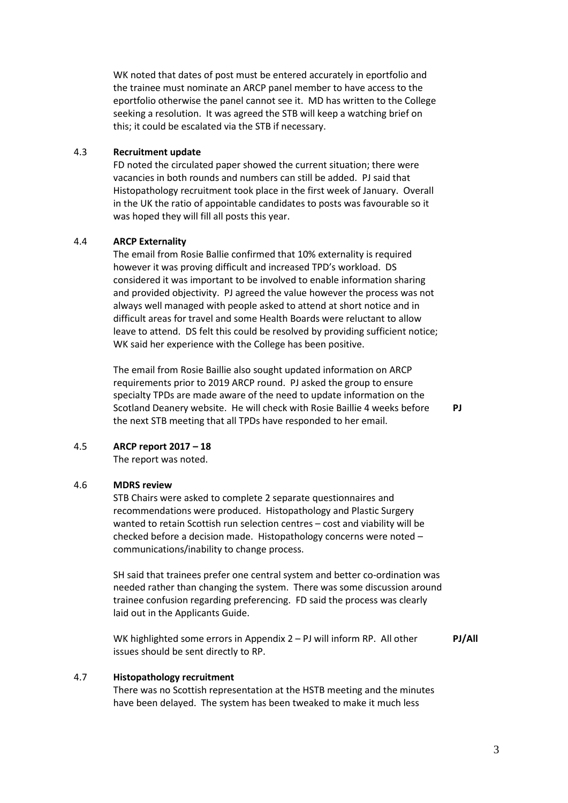WK noted that dates of post must be entered accurately in eportfolio and the trainee must nominate an ARCP panel member to have access to the eportfolio otherwise the panel cannot see it. MD has written to the College seeking a resolution. It was agreed the STB will keep a watching brief on this; it could be escalated via the STB if necessary.

### 4.3 **Recruitment update**

FD noted the circulated paper showed the current situation; there were vacancies in both rounds and numbers can still be added. PJ said that Histopathology recruitment took place in the first week of January. Overall in the UK the ratio of appointable candidates to posts was favourable so it was hoped they will fill all posts this year.

# 4.4 **ARCP Externality**

The email from Rosie Ballie confirmed that 10% externality is required however it was proving difficult and increased TPD's workload. DS considered it was important to be involved to enable information sharing and provided objectivity. PJ agreed the value however the process was not always well managed with people asked to attend at short notice and in difficult areas for travel and some Health Boards were reluctant to allow leave to attend. DS felt this could be resolved by providing sufficient notice; WK said her experience with the College has been positive.

The email from Rosie Baillie also sought updated information on ARCP requirements prior to 2019 ARCP round. PJ asked the group to ensure specialty TPDs are made aware of the need to update information on the Scotland Deanery website. He will check with Rosie Baillie 4 weeks before the next STB meeting that all TPDs have responded to her email.

**PJ**

### 4.5 **ARCP report 2017 – 18**

The report was noted.

# 4.6 **MDRS review**

STB Chairs were asked to complete 2 separate questionnaires and recommendations were produced. Histopathology and Plastic Surgery wanted to retain Scottish run selection centres – cost and viability will be checked before a decision made. Histopathology concerns were noted – communications/inability to change process.

SH said that trainees prefer one central system and better co-ordination was needed rather than changing the system. There was some discussion around trainee confusion regarding preferencing. FD said the process was clearly laid out in the Applicants Guide.

WK highlighted some errors in Appendix 2 – PJ will inform RP. All other issues should be sent directly to RP.

### **PJ/All**

# 4.7 **Histopathology recruitment**

There was no Scottish representation at the HSTB meeting and the minutes have been delayed. The system has been tweaked to make it much less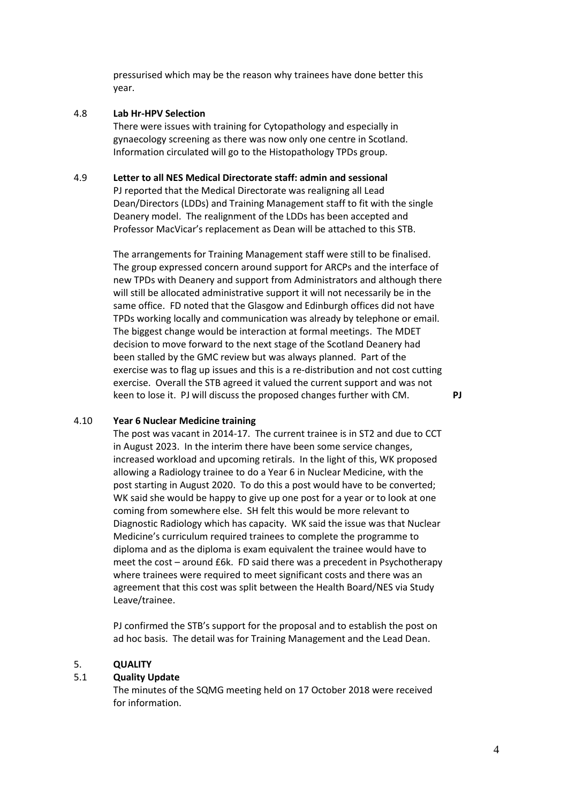pressurised which may be the reason why trainees have done better this year.

# 4.8 **Lab Hr-HPV Selection**

There were issues with training for Cytopathology and especially in gynaecology screening as there was now only one centre in Scotland. Information circulated will go to the Histopathology TPDs group.

### 4.9 **Letter to all NES Medical Directorate staff: admin and sessional**

PJ reported that the Medical Directorate was realigning all Lead Dean/Directors (LDDs) and Training Management staff to fit with the single Deanery model. The realignment of the LDDs has been accepted and Professor MacVicar's replacement as Dean will be attached to this STB.

The arrangements for Training Management staff were still to be finalised. The group expressed concern around support for ARCPs and the interface of new TPDs with Deanery and support from Administrators and although there will still be allocated administrative support it will not necessarily be in the same office. FD noted that the Glasgow and Edinburgh offices did not have TPDs working locally and communication was already by telephone or email. The biggest change would be interaction at formal meetings. The MDET decision to move forward to the next stage of the Scotland Deanery had been stalled by the GMC review but was always planned. Part of the exercise was to flag up issues and this is a re-distribution and not cost cutting exercise. Overall the STB agreed it valued the current support and was not keen to lose it. PJ will discuss the proposed changes further with CM. **PJ**

### 4.10 **Year 6 Nuclear Medicine training**

The post was vacant in 2014-17. The current trainee is in ST2 and due to CCT in August 2023. In the interim there have been some service changes, increased workload and upcoming retirals. In the light of this, WK proposed allowing a Radiology trainee to do a Year 6 in Nuclear Medicine, with the post starting in August 2020. To do this a post would have to be converted; WK said she would be happy to give up one post for a year or to look at one coming from somewhere else. SH felt this would be more relevant to Diagnostic Radiology which has capacity. WK said the issue was that Nuclear Medicine's curriculum required trainees to complete the programme to diploma and as the diploma is exam equivalent the trainee would have to meet the cost – around £6k. FD said there was a precedent in Psychotherapy where trainees were required to meet significant costs and there was an agreement that this cost was split between the Health Board/NES via Study Leave/trainee.

PJ confirmed the STB's support for the proposal and to establish the post on ad hoc basis. The detail was for Training Management and the Lead Dean.

# 5. **QUALITY**

# 5.1 **Quality Update**

The minutes of the SQMG meeting held on 17 October 2018 were received for information.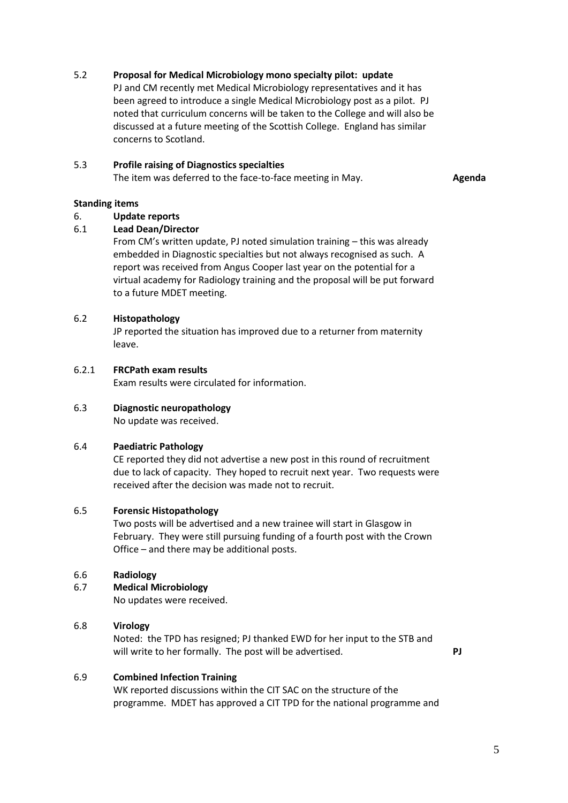# 5.2 **Proposal for Medical Microbiology mono specialty pilot: update**

PJ and CM recently met Medical Microbiology representatives and it has been agreed to introduce a single Medical Microbiology post as a pilot. PJ noted that curriculum concerns will be taken to the College and will also be discussed at a future meeting of the Scottish College. England has similar concerns to Scotland.

# 5.3 **Profile raising of Diagnostics specialties**

The item was deferred to the face-to-face meeting in May. **Agenda**

# **Standing items**

# 6. **Update reports**

# 6.1 **Lead Dean/Director**

From CM's written update, PJ noted simulation training – this was already embedded in Diagnostic specialties but not always recognised as such. A report was received from Angus Cooper last year on the potential for a virtual academy for Radiology training and the proposal will be put forward to a future MDET meeting.

# 6.2 **Histopathology**

JP reported the situation has improved due to a returner from maternity leave.

#### 6.2.1 **FRCPath exam results**

Exam results were circulated for information.

# 6.3 **Diagnostic neuropathology**

No update was received.

# 6.4 **Paediatric Pathology**

CE reported they did not advertise a new post in this round of recruitment due to lack of capacity. They hoped to recruit next year. Two requests were received after the decision was made not to recruit.

# 6.5 **Forensic Histopathology**

Two posts will be advertised and a new trainee will start in Glasgow in February. They were still pursuing funding of a fourth post with the Crown Office – and there may be additional posts.

# 6.6 **Radiology**

# 6.7 **Medical Microbiology**

No updates were received.

# 6.8 **Virology**

Noted: the TPD has resigned; PJ thanked EWD for her input to the STB and will write to her formally. The post will be advertised. **PJ**

# 6.9 **Combined Infection Training**

WK reported discussions within the CIT SAC on the structure of the programme. MDET has approved a CIT TPD for the national programme and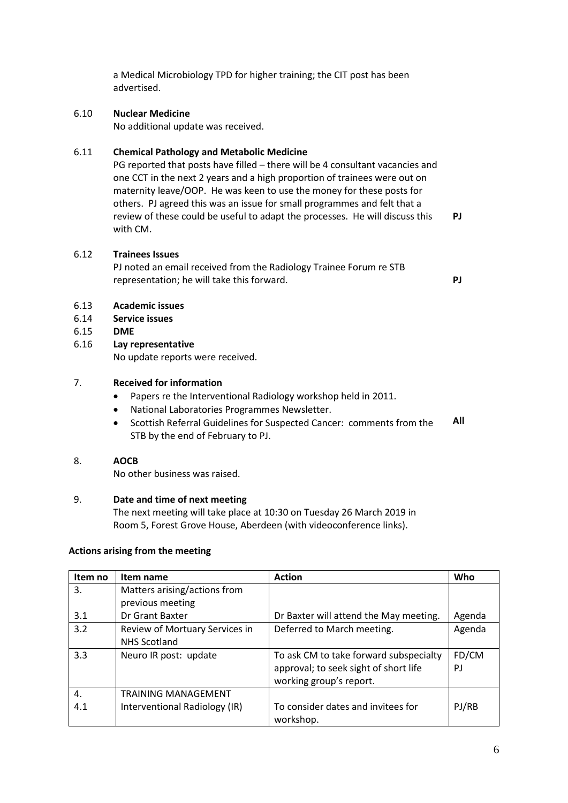a Medical Microbiology TPD for higher training; the CIT post has been advertised.

# 6.10 **Nuclear Medicine**

No additional update was received.

# 6.11 **Chemical Pathology and Metabolic Medicine**

PG reported that posts have filled – there will be 4 consultant vacancies and one CCT in the next 2 years and a high proportion of trainees were out on maternity leave/OOP. He was keen to use the money for these posts for others. PJ agreed this was an issue for small programmes and felt that a review of these could be useful to adapt the processes. He will discuss this with CM.

# 6.12 **Trainees Issues**

PJ noted an email received from the Radiology Trainee Forum re STB representation; he will take this forward. **PJ**

**PJ**

### 6.13 **Academic issues**

- 6.14 **Service issues**
- 6.15 **DME**

#### 6.16 **Lay representative**

No update reports were received.

# 7. **Received for information**

- Papers re the Interventional Radiology workshop held in 2011.
- National Laboratories Programmes Newsletter.
- Scottish Referral Guidelines for Suspected Cancer: comments from the STB by the end of February to PJ. **All**

# 8. **AOCB**

No other business was raised.

# 9. **Date and time of next meeting**

The next meeting will take place at 10:30 on Tuesday 26 March 2019 in Room 5, Forest Grove House, Aberdeen (with videoconference links).

# **Actions arising from the meeting**

| Item no | Item name                      | <b>Action</b>                          | Who    |
|---------|--------------------------------|----------------------------------------|--------|
| 3.      | Matters arising/actions from   |                                        |        |
|         | previous meeting               |                                        |        |
| 3.1     | Dr Grant Baxter                | Dr Baxter will attend the May meeting. | Agenda |
| 3.2     | Review of Mortuary Services in | Deferred to March meeting.             | Agenda |
|         | <b>NHS Scotland</b>            |                                        |        |
| 3.3     | Neuro IR post: update          | To ask CM to take forward subspecialty | FD/CM  |
|         |                                | approval; to seek sight of short life  | PJ     |
|         |                                | working group's report.                |        |
| 4.      | <b>TRAINING MANAGEMENT</b>     |                                        |        |
| 4.1     | Interventional Radiology (IR)  | To consider dates and invitees for     | PJ/RB  |
|         |                                | workshop.                              |        |